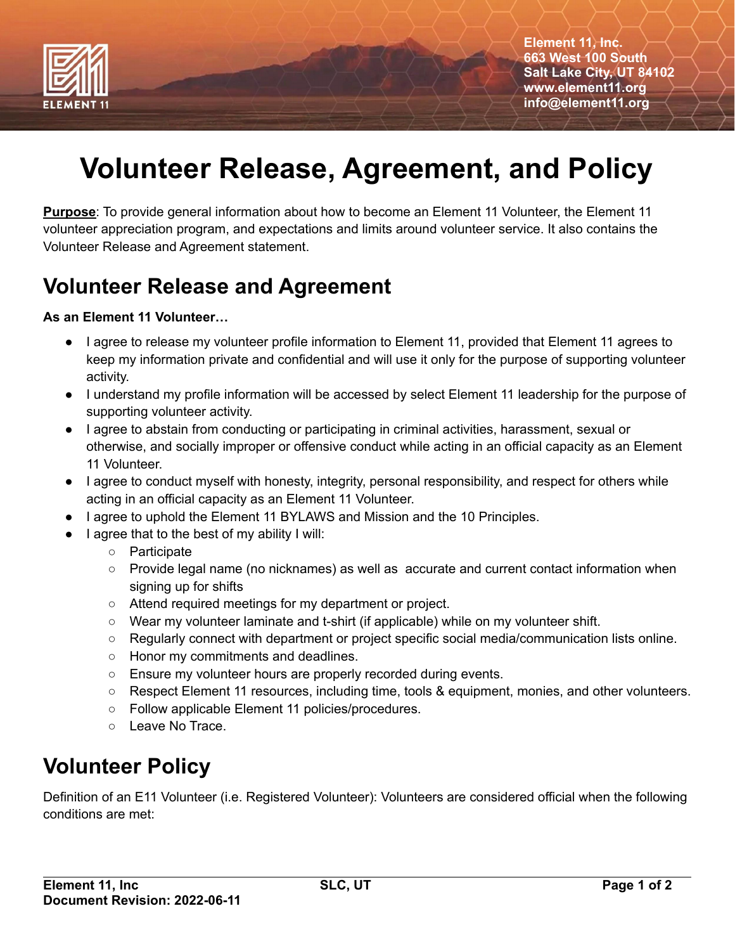

**Element 11, Inc. 663 West 100 South Salt Lake City, UT 84102 www.element11.org info@element11.org**

# **Volunteer Release, Agreement, and Policy**

**Purpose**: To provide general information about how to become an Element 11 Volunteer, the Element 11 volunteer appreciation program, and expectations and limits around volunteer service. It also contains the Volunteer Release and Agreement statement.

### **Volunteer Release and Agreement**

#### **As an Element 11 Volunteer…**

- I agree to release my volunteer profile information to Element 11, provided that Element 11 agrees to keep my information private and confidential and will use it only for the purpose of supporting volunteer activity.
- I understand my profile information will be accessed by select Element 11 leadership for the purpose of supporting volunteer activity.
- I agree to abstain from conducting or participating in criminal activities, harassment, sexual or otherwise, and socially improper or offensive conduct while acting in an official capacity as an Element 11 Volunteer.
- I agree to conduct myself with honesty, integrity, personal responsibility, and respect for others while acting in an official capacity as an Element 11 Volunteer.
- I agree to uphold the Element 11 BYLAWS and Mission and the 10 Principles.
- I agree that to the best of my ability I will:
	- Participate
	- Provide legal name (no nicknames) as well as accurate and current contact information when signing up for shifts
	- Attend required meetings for my department or project.
	- Wear my volunteer laminate and t-shirt (if applicable) while on my volunteer shift.
	- Regularly connect with department or project specific social media/communication lists online.
	- Honor my commitments and deadlines.
	- Ensure my volunteer hours are properly recorded during events.
	- Respect Element 11 resources, including time, tools & equipment, monies, and other volunteers.
	- Follow applicable Element 11 policies/procedures.
	- Leave No Trace.

## **Volunteer Policy**

Definition of an E11 Volunteer (i.e. Registered Volunteer): Volunteers are considered official when the following conditions are met: